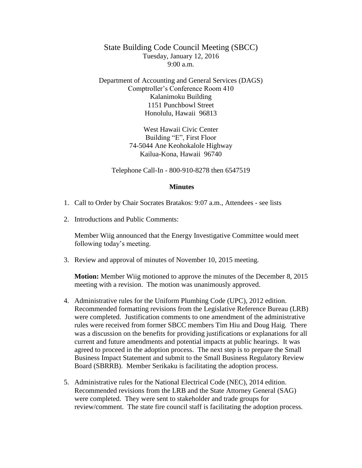State Building Code Council Meeting (SBCC) Tuesday, January 12, 2016  $9:00 a.m.$ 

Department of Accounting and General Services (DAGS) Comptroller's Conference Room 410 Kalanimoku Building 1151 Punchbowl Street Honolulu, Hawaii 96813

> West Hawaii Civic Center Building "E", First Floor 74-5044 Ane Keohokalole Highway Kailua-Kona, Hawaii 96740

Telephone Call-In - 800-910-8278 then 6547519

## **Minutes**

- 1. Call to Order by Chair Socrates Bratakos: 9:07 a.m., Attendees see lists
- 2. Introductions and Public Comments:

Member Wiig announced that the Energy Investigative Committee would meet following today's meeting.

3. Review and approval of minutes of November 10, 2015 meeting.

**Motion:** Member Wiig motioned to approve the minutes of the December 8, 2015 meeting with a revision. The motion was unanimously approved.

- 4. Administrative rules for the Uniform Plumbing Code (UPC), 2012 edition. Recommended formatting revisions from the Legislative Reference Bureau (LRB) were completed. Justification comments to one amendment of the administrative rules were received from former SBCC members Tim Hiu and Doug Haig. There was a discussion on the benefits for providing justifications or explanations for all current and future amendments and potential impacts at public hearings. It was agreed to proceed in the adoption process. The next step is to prepare the Small Business Impact Statement and submit to the Small Business Regulatory Review Board (SBRRB). Member Serikaku is facilitating the adoption process.
- 5. Administrative rules for the National Electrical Code (NEC), 2014 edition. Recommended revisions from the LRB and the State Attorney General (SAG) were completed. They were sent to stakeholder and trade groups for review/comment. The state fire council staff is facilitating the adoption process.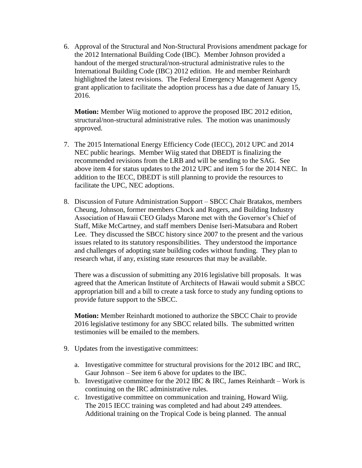6. Approval of the Structural and Non-Structural Provisions amendment package for the 2012 International Building Code (IBC). Member Johnson provided a handout of the merged structural/non-structural administrative rules to the International Building Code (IBC) 2012 edition. He and member Reinhardt highlighted the latest revisions. The Federal Emergency Management Agency grant application to facilitate the adoption process has a due date of January 15, 2016.

**Motion:** Member Wiig motioned to approve the proposed IBC 2012 edition, structural/non-structural administrative rules. The motion was unanimously approved.

- 7. The 2015 International Energy Efficiency Code (IECC), 2012 UPC and 2014 NEC public hearings. Member Wiig stated that DBEDT is finalizing the recommended revisions from the LRB and will be sending to the SAG. See above item 4 for status updates to the 2012 UPC and item 5 for the 2014 NEC. In addition to the IECC, DBEDT is still planning to provide the resources to facilitate the UPC, NEC adoptions.
- 8. Discussion of Future Administration Support SBCC Chair Bratakos, members Cheung, Johnson, former members Chock and Rogers, and Building Industry Association of Hawaii CEO Gladys Marone met with the Governor's Chief of Staff, Mike McCartney, and staff members Denise Iseri-Matsubara and Robert Lee. They discussed the SBCC history since 2007 to the present and the various issues related to its statutory responsibilities. They understood the importance and challenges of adopting state building codes without funding. They plan to research what, if any, existing state resources that may be available.

There was a discussion of submitting any 2016 legislative bill proposals. It was agreed that the American Institute of Architects of Hawaii would submit a SBCC appropriation bill and a bill to create a task force to study any funding options to provide future support to the SBCC.

**Motion:** Member Reinhardt motioned to authorize the SBCC Chair to provide 2016 legislative testimony for any SBCC related bills. The submitted written testimonies will be emailed to the members.

- 9. Updates from the investigative committees:
	- a. Investigative committee for structural provisions for the 2012 IBC and IRC, Gaur Johnson – See item 6 above for updates to the IBC.
	- b. Investigative committee for the 2012 IBC  $&$  IRC, James Reinhardt Work is continuing on the IRC administrative rules.
	- c. Investigative committee on communication and training, Howard Wiig. The 2015 IECC training was completed and had about 249 attendees. Additional training on the Tropical Code is being planned. The annual